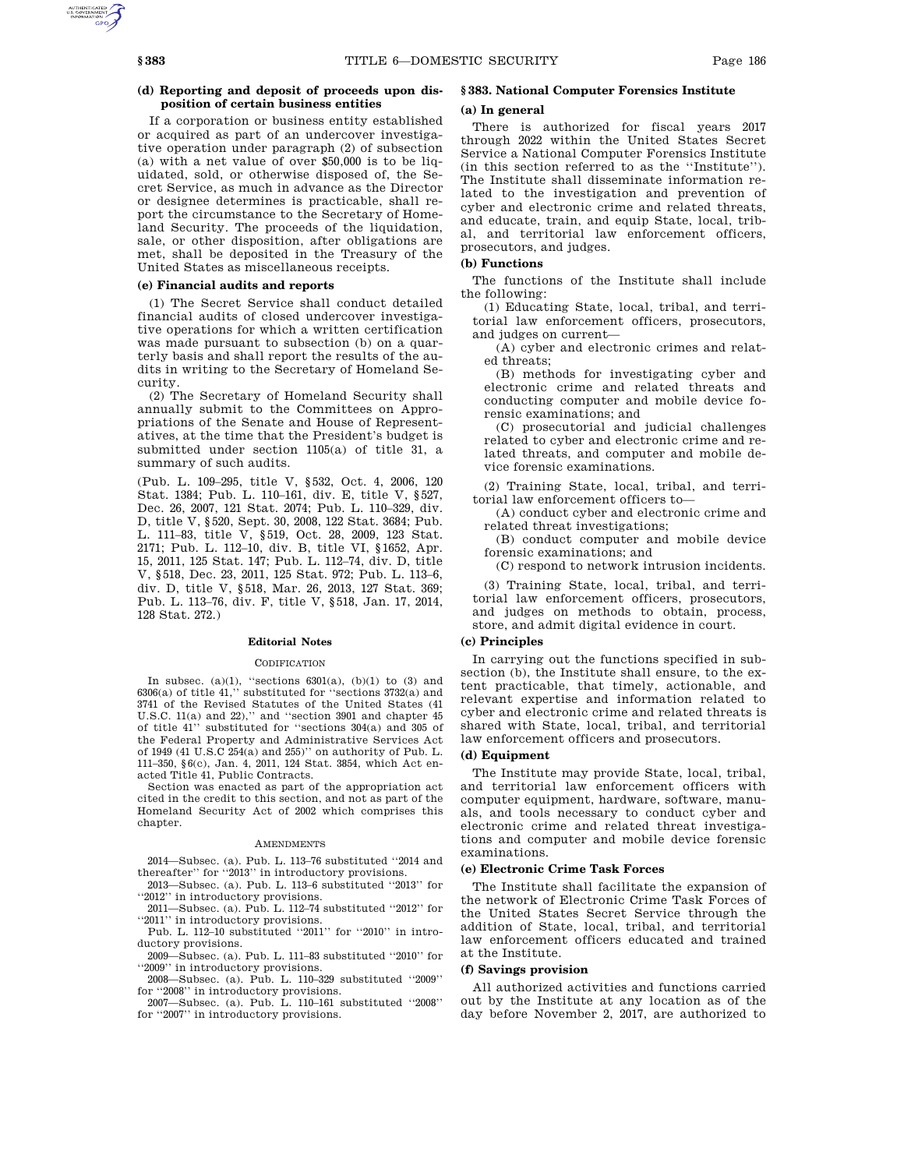## **(d) Reporting and deposit of proceeds upon disposition of certain business entities**

If a corporation or business entity established or acquired as part of an undercover investigative operation under paragraph (2) of subsection (a) with a net value of over \$50,000 is to be liquidated, sold, or otherwise disposed of, the Secret Service, as much in advance as the Director or designee determines is practicable, shall report the circumstance to the Secretary of Homeland Security. The proceeds of the liquidation, sale, or other disposition, after obligations are met, shall be deposited in the Treasury of the United States as miscellaneous receipts.

## **(e) Financial audits and reports**

(1) The Secret Service shall conduct detailed financial audits of closed undercover investigative operations for which a written certification was made pursuant to subsection (b) on a quarterly basis and shall report the results of the audits in writing to the Secretary of Homeland Security.

(2) The Secretary of Homeland Security shall annually submit to the Committees on Appropriations of the Senate and House of Representatives, at the time that the President's budget is submitted under section 1105(a) of title 31, a summary of such audits.

(Pub. L. 109–295, title V, §532, Oct. 4, 2006, 120 Stat. 1384; Pub. L. 110–161, div. E, title V, §527, Dec. 26, 2007, 121 Stat. 2074; Pub. L. 110–329, div. D, title V, §520, Sept. 30, 2008, 122 Stat. 3684; Pub. L. 111–83, title V, §519, Oct. 28, 2009, 123 Stat. 2171; Pub. L. 112–10, div. B, title VI, §1652, Apr. 15, 2011, 125 Stat. 147; Pub. L. 112–74, div. D, title V, §518, Dec. 23, 2011, 125 Stat. 972; Pub. L. 113–6, div. D, title V, §518, Mar. 26, 2013, 127 Stat. 369; Pub. L. 113–76, div. F, title V, §518, Jan. 17, 2014, 128 Stat. 272.)

#### **Editorial Notes**

#### **CODIFICATION**

In subsec. (a)(1), "sections  $6301(a)$ , (b)(1) to (3) and 6306(a) of title 41,'' substituted for ''sections 3732(a) and 3741 of the Revised Statutes of the United States (41 U.S.C.  $11(a)$  and  $22)$ ," and "section 3901 and chapter 45 of title 41'' substituted for ''sections 304(a) and 305 of the Federal Property and Administrative Services Act of 1949 (41 U.S.C 254(a) and 255)'' on authority of Pub. L. 111–350, §6(c), Jan. 4, 2011, 124 Stat. 3854, which Act enacted Title 41, Public Contracts.

Section was enacted as part of the appropriation act cited in the credit to this section, and not as part of the Homeland Security Act of 2002 which comprises this chapter.

#### AMENDMENTS

2014—Subsec. (a). Pub. L. 113–76 substituted ''2014 and thereafter'' for ''2013'' in introductory provisions.

2013—Subsec. (a). Pub. L. 113–6 substituted ''2013'' for ''2012'' in introductory provisions.

2011—Subsec. (a). Pub. L. 112–74 substituted ''2012'' for ''2011'' in introductory provisions.

Pub. L. 112–10 substituted ''2011'' for ''2010'' in introductory provisions.

2009—Subsec. (a). Pub. L. 111–83 substituted ''2010'' for ''2009'' in introductory provisions.

2008—Subsec. (a). Pub. L. 110–329 substituted ''2009''

for ''2008'' in introductory provisions. 2007—Subsec. (a). Pub. L. 110–161 substituted ''2008'' for "2007" in introductory provisions.

# **§ 383. National Computer Forensics Institute**

## **(a) In general**

There is authorized for fiscal years 2017 through 2022 within the United States Secret Service a National Computer Forensics Institute (in this section referred to as the ''Institute''). The Institute shall disseminate information related to the investigation and prevention of cyber and electronic crime and related threats, and educate, train, and equip State, local, tribal, and territorial law enforcement officers, prosecutors, and judges.

### **(b) Functions**

The functions of the Institute shall include the following:

(1) Educating State, local, tribal, and territorial law enforcement officers, prosecutors, and judges on current—

(A) cyber and electronic crimes and related threats;

(B) methods for investigating cyber and electronic crime and related threats and conducting computer and mobile device forensic examinations; and

(C) prosecutorial and judicial challenges related to cyber and electronic crime and related threats, and computer and mobile device forensic examinations.

(2) Training State, local, tribal, and territorial law enforcement officers to—

(A) conduct cyber and electronic crime and related threat investigations;

(B) conduct computer and mobile device forensic examinations; and

(C) respond to network intrusion incidents.

(3) Training State, local, tribal, and territorial law enforcement officers, prosecutors, and judges on methods to obtain, process, store, and admit digital evidence in court.

#### **(c) Principles**

In carrying out the functions specified in subsection (b), the Institute shall ensure, to the extent practicable, that timely, actionable, and relevant expertise and information related to cyber and electronic crime and related threats is shared with State, local, tribal, and territorial law enforcement officers and prosecutors.

### **(d) Equipment**

The Institute may provide State, local, tribal, and territorial law enforcement officers with computer equipment, hardware, software, manuals, and tools necessary to conduct cyber and electronic crime and related threat investigations and computer and mobile device forensic examinations.

### **(e) Electronic Crime Task Forces**

The Institute shall facilitate the expansion of the network of Electronic Crime Task Forces of the United States Secret Service through the addition of State, local, tribal, and territorial law enforcement officers educated and trained at the Institute.

#### **(f) Savings provision**

All authorized activities and functions carried out by the Institute at any location as of the day before November 2, 2017, are authorized to